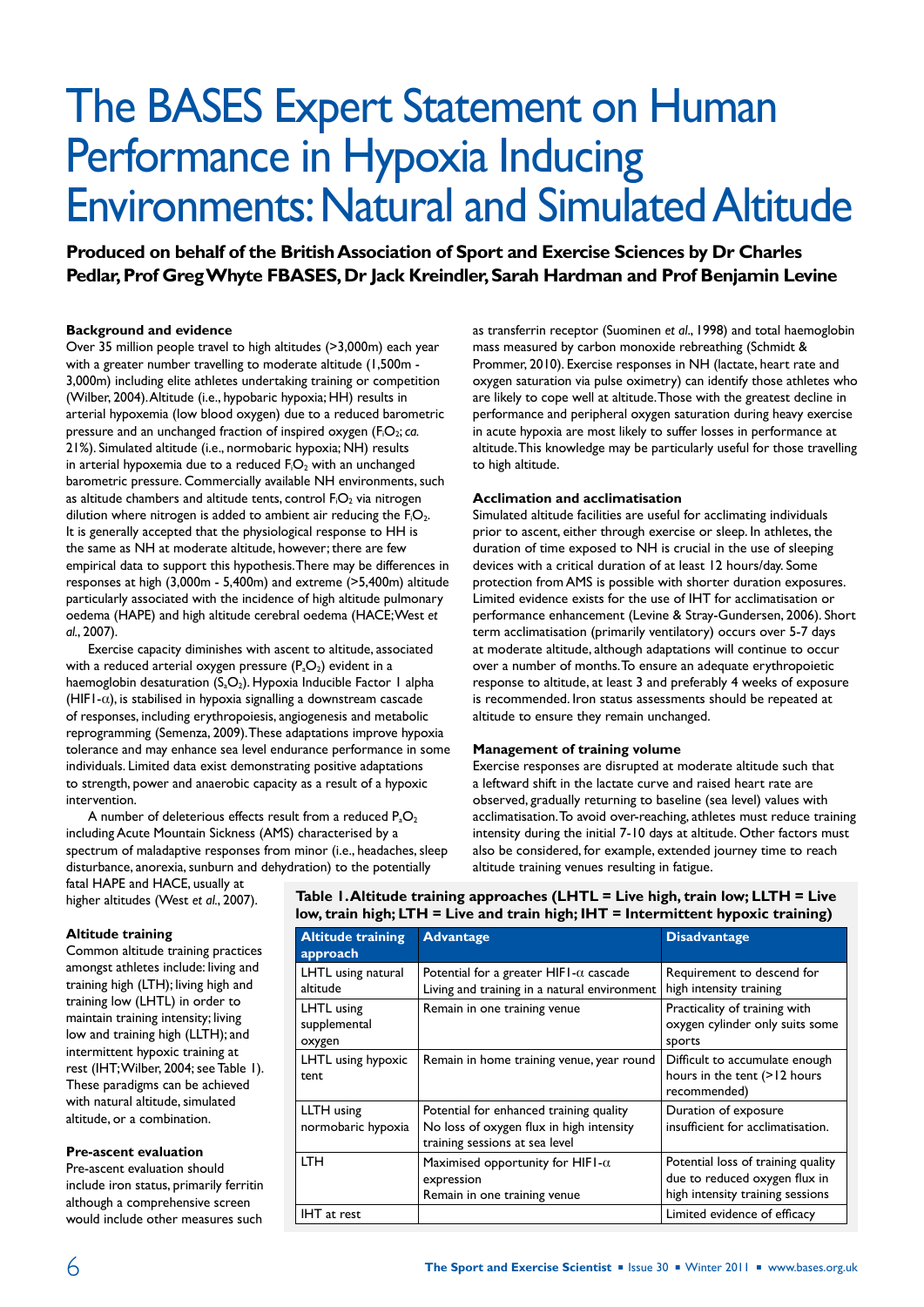# The BASES Expert Statement on Human Performance in Hypoxia Inducing Environments: Natural and Simulated Altitude

**Produced on behalf of the British Association of Sport and Exercise Sciences by Dr Charles Pedlar, Prof Greg Whyte FBASES, Dr Jack Kreindler, Sarah Hardman and Prof Benjamin Levine**

## **Background and evidence**

Over 35 million people travel to high altitudes (>3,000m) each year with a greater number travelling to moderate altitude (1,500m -3,000m) including elite athletes undertaking training or competition (Wilber, 2004). Altitude (i.e., hypobaric hypoxia; HH) results in arterial hypoxemia (low blood oxygen) due to a reduced barometric pressure and an unchanged fraction of inspired oxygen (FiO2; *ca.* 21%). Simulated altitude (i.e., normobaric hypoxia; NH) results in arterial hypoxemia due to a reduced  $F_1O_2$  with an unchanged barometric pressure. Commercially available NH environments, such as altitude chambers and altitude tents, control  $F_1O_2$  via nitrogen dilution where nitrogen is added to ambient air reducing the  $F_1O_2$ . It is generally accepted that the physiological response to HH is the same as NH at moderate altitude, however; there are few empirical data to support this hypothesis. There may be differences in responses at high (3,000m - 5,400m) and extreme (>5,400m) altitude particularly associated with the incidence of high altitude pulmonary oedema (HAPE) and high altitude cerebral oedema (HACE; West *et al.*, 2007).

Exercise capacity diminishes with ascent to altitude, associated with a reduced arterial oxygen pressure  $(P_aO_2)$  evident in a haemoglobin desaturation  $(S_aO_2)$ . Hypoxia Inducible Factor 1 alpha (HIF1- $\alpha$ ), is stabilised in hypoxia signalling a downstream cascade of responses, including erythropoiesis, angiogenesis and metabolic reprogramming (Semenza, 2009). These adaptations improve hypoxia tolerance and may enhance sea level endurance performance in some individuals. Limited data exist demonstrating positive adaptations to strength, power and anaerobic capacity as a result of a hypoxic intervention.

A number of deleterious effects result from a reduced  $P_aO_2$ including Acute Mountain Sickness (AMS) characterised by a spectrum of maladaptive responses from minor (i.e., headaches, sleep disturbance, anorexia, sunburn and dehydration) to the potentially fatal HAPE and HACE, usually at

as transferrin receptor (Suominen *et al*., 1998) and total haemoglobin mass measured by carbon monoxide rebreathing (Schmidt & Prommer, 2010). Exercise responses in NH (lactate, heart rate and oxygen saturation via pulse oximetry) can identify those athletes who are likely to cope well at altitude. Those with the greatest decline in performance and peripheral oxygen saturation during heavy exercise in acute hypoxia are most likely to suffer losses in performance at altitude. This knowledge may be particularly useful for those travelling to high altitude.

## **Acclimation and acclimatisation**

Simulated altitude facilities are useful for acclimating individuals prior to ascent, either through exercise or sleep. In athletes, the duration of time exposed to NH is crucial in the use of sleeping devices with a critical duration of at least 12 hours/day. Some protection from AMS is possible with shorter duration exposures. Limited evidence exists for the use of IHT for acclimatisation or performance enhancement (Levine & Stray-Gundersen, 2006). Short term acclimatisation (primarily ventilatory) occurs over 5-7 days at moderate altitude, although adaptations will continue to occur over a number of months. To ensure an adequate erythropoietic response to altitude, at least 3 and preferably 4 weeks of exposure is recommended. Iron status assessments should be repeated at altitude to ensure they remain unchanged.

#### **Management of training volume**

Exercise responses are disrupted at moderate altitude such that a leftward shift in the lactate curve and raised heart rate are observed, gradually returning to baseline (sea level) values with acclimatisation. To avoid over-reaching, athletes must reduce training intensity during the initial 7-10 days at altitude. Other factors must also be considered, for example, extended journey time to reach altitude training venues resulting in fatigue.

higher altitudes (West *et al.*, 2007).

**Altitude training**

Common altitude training practices amongst athletes include: living and training high (LTH); living high and training low (LHTL) in order to maintain training intensity; living low and training high (LLTH); and intermittent hypoxic training at rest (IHT; Wilber, 2004; see Table 1). These paradigms can be achieved with natural altitude, simulated altitude, or a combination.

## **Pre-ascent evaluation**

Pre-ascent evaluation should include iron status, primarily ferritin although a comprehensive screen would include other measures such

## **Table 1. Altitude training approaches (LHTL = Live high, train low; LLTH = Live low, train high; LTH = Live and train high; IHT = Intermittent hypoxic training)**

| <b>Altitude training</b><br>approach | <b>Advantage</b>                                                                                                      | <b>Disadvantage</b>                                                                                     |
|--------------------------------------|-----------------------------------------------------------------------------------------------------------------------|---------------------------------------------------------------------------------------------------------|
| LHTL using natural<br>altitude       | Potential for a greater HIFI- $\alpha$ cascade<br>Living and training in a natural environment                        | Requirement to descend for<br>high intensity training                                                   |
| LHTL using<br>supplemental<br>oxygen | Remain in one training venue                                                                                          | Practicality of training with<br>oxygen cylinder only suits some<br>sports                              |
| LHTL using hypoxic<br>tent           | Remain in home training venue, year round                                                                             | Difficult to accumulate enough<br>hours in the tent (>12 hours<br>recommended)                          |
| LLTH using<br>normobaric hypoxia     | Potential for enhanced training quality<br>No loss of oxygen flux in high intensity<br>training sessions at sea level | Duration of exposure<br>insufficient for acclimatisation.                                               |
| <b>LTH</b>                           | Maximised opportunity for HIFI- $\alpha$<br>expression<br>Remain in one training venue                                | Potential loss of training quality<br>due to reduced oxygen flux in<br>high intensity training sessions |
| IHT at rest                          |                                                                                                                       | Limited evidence of efficacy                                                                            |